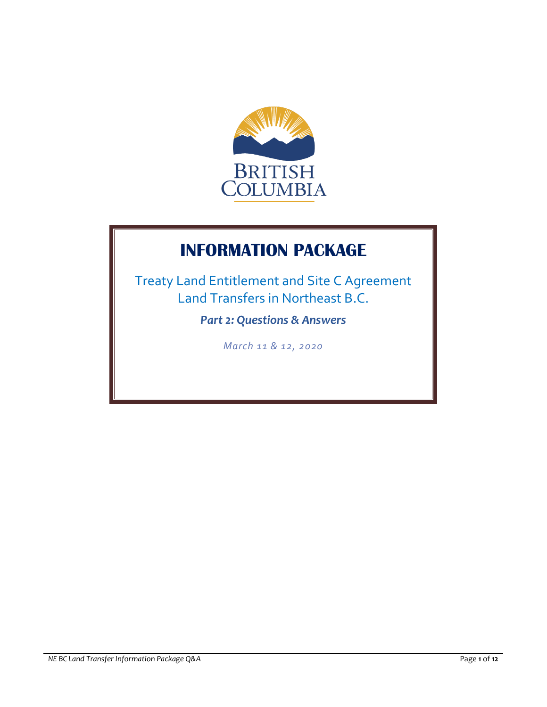

# **INFORMATION PACKAGE**

Treaty Land Entitlement and Site C Agreement Land Transfers in Northeast B.C.

*Part 2: Questions & Answers*

*March 11 & 12, 2020*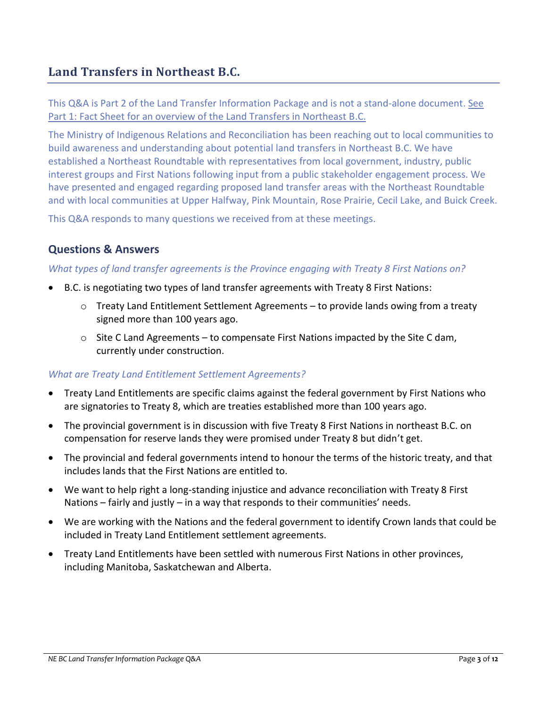# **Land Transfers in Northeast B.C.**

This Q&A is Part 2 of the Land Transfer Information Package and is not a stand-alone document. See Part 1: Fact Sheet for an overview of the Land Transfers in Northeast B.C.

The Ministry of Indigenous Relations and Reconciliation has been reaching out to local communities to build awareness and understanding about potential land transfers in Northeast B.C. We have established a Northeast Roundtable with representatives from local government, industry, public interest groups and First Nations following input from a public stakeholder engagement process. We have presented and engaged regarding proposed land transfer areas with the Northeast Roundtable and with local communities at Upper Halfway, Pink Mountain, Rose Prairie, Cecil Lake, and Buick Creek.

This Q&A responds to many questions we received from at these meetings.

# **Questions & Answers**

#### *What types of land transfer agreements is the Province engaging with Treaty 8 First Nations on?*

- B.C. is negotiating two types of land transfer agreements with Treaty 8 First Nations:
	- $\circ$  Treaty Land Entitlement Settlement Agreements to provide lands owing from a treaty signed more than 100 years ago.
	- $\circ$  Site C Land Agreements to compensate First Nations impacted by the Site C dam, currently under construction.

#### *What are Treaty Land Entitlement Settlement Agreements?*

- Treaty Land Entitlements are specific claims against the federal government by First Nations who are signatories to Treaty 8, which are treaties established more than 100 years ago.
- The provincial government is in discussion with five Treaty 8 First Nations in northeast B.C. on compensation for reserve lands they were promised under Treaty 8 but didn't get.
- The provincial and federal governments intend to honour the terms of the historic treaty, and that includes lands that the First Nations are entitled to.
- We want to help right a long-standing injustice and advance reconciliation with Treaty 8 First Nations – fairly and justly – in a way that responds to their communities' needs.
- We are working with the Nations and the federal government to identify Crown lands that could be included in Treaty Land Entitlement settlement agreements.
- Treaty Land Entitlements have been settled with numerous First Nations in other provinces, including Manitoba, Saskatchewan and Alberta.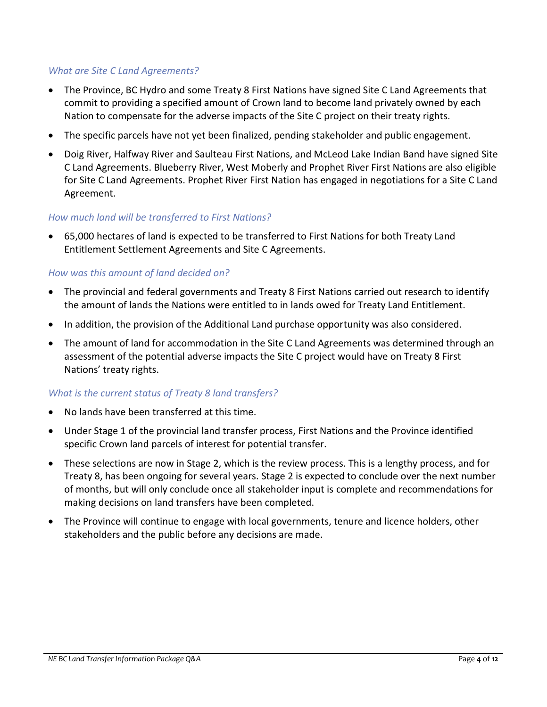# *What are Site C Land Agreements?*

- The Province, BC Hydro and some Treaty 8 First Nations have signed Site C Land Agreements that commit to providing a specified amount of Crown land to become land privately owned by each Nation to compensate for the adverse impacts of the Site C project on their treaty rights.
- The specific parcels have not yet been finalized, pending stakeholder and public engagement.
- Doig River, Halfway River and Saulteau First Nations, and McLeod Lake Indian Band have signed Site C Land Agreements. Blueberry River, West Moberly and Prophet River First Nations are also eligible for Site C Land Agreements. Prophet River First Nation has engaged in negotiations for a Site C Land Agreement.

#### *How much land will be transferred to First Nations?*

 65,000 hectares of land is expected to be transferred to First Nations for both Treaty Land Entitlement Settlement Agreements and Site C Agreements.

#### *How was this amount of land decided on?*

- The provincial and federal governments and Treaty 8 First Nations carried out research to identify the amount of lands the Nations were entitled to in lands owed for Treaty Land Entitlement.
- In addition, the provision of the Additional Land purchase opportunity was also considered.
- The amount of land for accommodation in the Site C Land Agreements was determined through an assessment of the potential adverse impacts the Site C project would have on Treaty 8 First Nations' treaty rights.

# *What is the current status of Treaty 8 land transfers?*

- No lands have been transferred at this time.
- Under Stage 1 of the provincial land transfer process, First Nations and the Province identified specific Crown land parcels of interest for potential transfer.
- These selections are now in Stage 2, which is the review process. This is a lengthy process, and for Treaty 8, has been ongoing for several years. Stage 2 is expected to conclude over the next number of months, but will only conclude once all stakeholder input is complete and recommendations for making decisions on land transfers have been completed.
- The Province will continue to engage with local governments, tenure and licence holders, other stakeholders and the public before any decisions are made.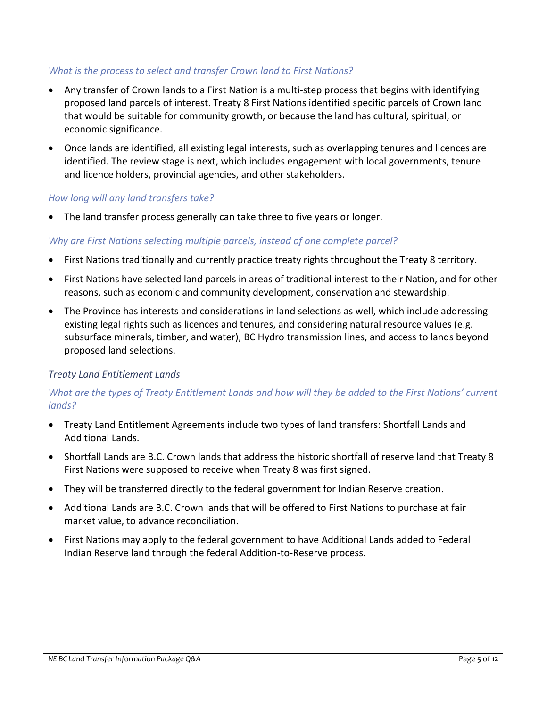# *What is the process to select and transfer Crown land to First Nations?*

- Any transfer of Crown lands to a First Nation is a multi-step process that begins with identifying proposed land parcels of interest. Treaty 8 First Nations identified specific parcels of Crown land that would be suitable for community growth, or because the land has cultural, spiritual, or economic significance.
- Once lands are identified, all existing legal interests, such as overlapping tenures and licences are identified. The review stage is next, which includes engagement with local governments, tenure and licence holders, provincial agencies, and other stakeholders.

#### *How long will any land transfers take?*

The land transfer process generally can take three to five years or longer.

#### *Why are First Nations selecting multiple parcels, instead of one complete parcel?*

- First Nations traditionally and currently practice treaty rights throughout the Treaty 8 territory.
- First Nations have selected land parcels in areas of traditional interest to their Nation, and for other reasons, such as economic and community development, conservation and stewardship.
- The Province has interests and considerations in land selections as well, which include addressing existing legal rights such as licences and tenures, and considering natural resource values (e.g. subsurface minerals, timber, and water), BC Hydro transmission lines, and access to lands beyond proposed land selections.

#### *Treaty Land Entitlement Lands*

# *What are the types of Treaty Entitlement Lands and how will they be added to the First Nations' current lands?*

- Treaty Land Entitlement Agreements include two types of land transfers: Shortfall Lands and Additional Lands.
- Shortfall Lands are B.C. Crown lands that address the historic shortfall of reserve land that Treaty 8 First Nations were supposed to receive when Treaty 8 was first signed.
- They will be transferred directly to the federal government for Indian Reserve creation.
- Additional Lands are B.C. Crown lands that will be offered to First Nations to purchase at fair market value, to advance reconciliation.
- First Nations may apply to the federal government to have Additional Lands added to Federal Indian Reserve land through the federal Addition-to-Reserve process.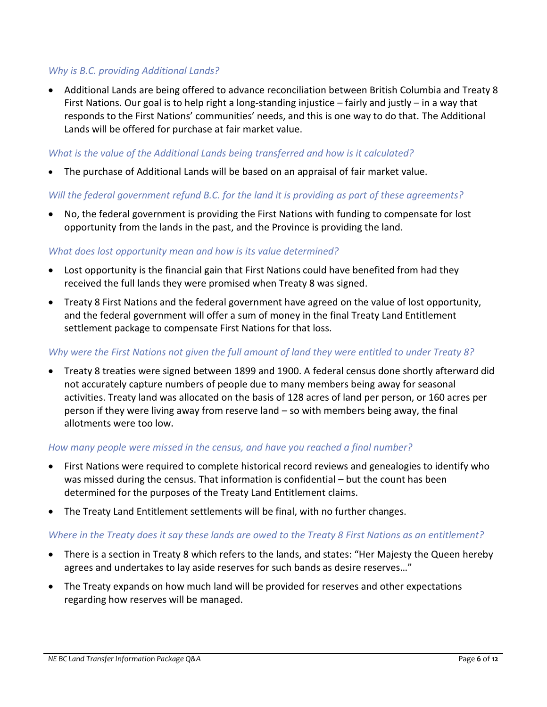# *Why is B.C. providing Additional Lands?*

 Additional Lands are being offered to advance reconciliation between British Columbia and Treaty 8 First Nations. Our goal is to help right a long-standing injustice – fairly and justly – in a way that responds to the First Nations' communities' needs, and this is one way to do that. The Additional Lands will be offered for purchase at fair market value.

#### *What is the value of the Additional Lands being transferred and how is it calculated?*

The purchase of Additional Lands will be based on an appraisal of fair market value.

#### *Will the federal government refund B.C. for the land it is providing as part of these agreements?*

 No, the federal government is providing the First Nations with funding to compensate for lost opportunity from the lands in the past, and the Province is providing the land.

#### *What does lost opportunity mean and how is its value determined?*

- Lost opportunity is the financial gain that First Nations could have benefited from had they received the full lands they were promised when Treaty 8 was signed.
- Treaty 8 First Nations and the federal government have agreed on the value of lost opportunity, and the federal government will offer a sum of money in the final Treaty Land Entitlement settlement package to compensate First Nations for that loss.

#### *Why were the First Nations not given the full amount of land they were entitled to under Treaty 8?*

 Treaty 8 treaties were signed between 1899 and 1900. A federal census done shortly afterward did not accurately capture numbers of people due to many members being away for seasonal activities. Treaty land was allocated on the basis of 128 acres of land per person, or 160 acres per person if they were living away from reserve land – so with members being away, the final allotments were too low.

#### *How many people were missed in the census, and have you reached a final number?*

- First Nations were required to complete historical record reviews and genealogies to identify who was missed during the census. That information is confidential – but the count has been determined for the purposes of the Treaty Land Entitlement claims.
- The Treaty Land Entitlement settlements will be final, with no further changes.

#### *Where in the Treaty does it say these lands are owed to the Treaty 8 First Nations as an entitlement?*

- There is a section in Treaty 8 which refers to the lands, and states: "Her Majesty the Queen hereby agrees and undertakes to lay aside reserves for such bands as desire reserves…"
- The Treaty expands on how much land will be provided for reserves and other expectations regarding how reserves will be managed.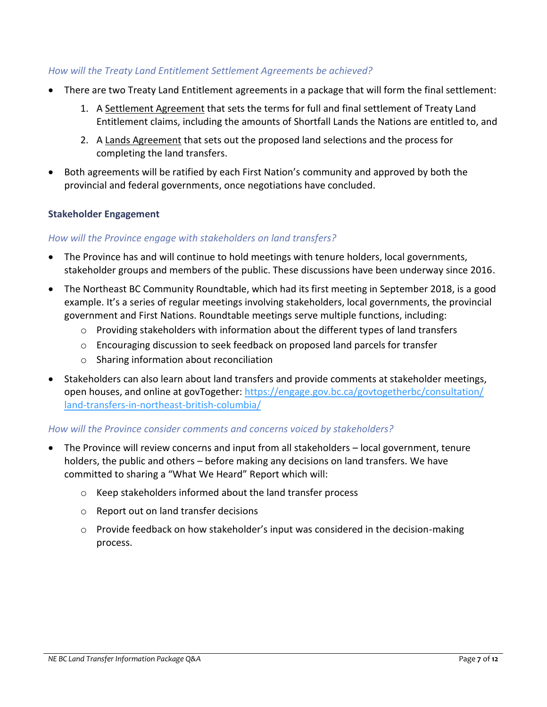# *How will the Treaty Land Entitlement Settlement Agreements be achieved?*

- There are two Treaty Land Entitlement agreements in a package that will form the final settlement:
	- 1. A Settlement Agreement that sets the terms for full and final settlement of Treaty Land Entitlement claims, including the amounts of Shortfall Lands the Nations are entitled to, and
	- 2. A Lands Agreement that sets out the proposed land selections and the process for completing the land transfers.
- Both agreements will be ratified by each First Nation's community and approved by both the provincial and federal governments, once negotiations have concluded.

# **Stakeholder Engagement**

# *How will the Province engage with stakeholders on land transfers?*

- The Province has and will continue to hold meetings with tenure holders, local governments, stakeholder groups and members of the public. These discussions have been underway since 2016.
- The Northeast BC Community Roundtable, which had its first meeting in September 2018, is a good example. It's a series of regular meetings involving stakeholders, local governments, the provincial government and First Nations. Roundtable meetings serve multiple functions, including:
	- $\circ$  Providing stakeholders with information about the different types of land transfers
	- $\circ$  Encouraging discussion to seek feedback on proposed land parcels for transfer
	- o Sharing information about reconciliation
- Stakeholders can also learn about land transfers and provide comments at stakeholder meetings, open houses, and online at govTogether: [https://engage.gov.bc.ca/govtogetherbc/consultation/](https://engage.gov.bc.ca/govtogetherbc/consultation/land-transfers-in-northeast-british-columbia/) [land-transfers-in-northeast-british-columbia/](https://engage.gov.bc.ca/govtogetherbc/consultation/land-transfers-in-northeast-british-columbia/)

# *How will the Province consider comments and concerns voiced by stakeholders?*

- The Province will review concerns and input from all stakeholders local government, tenure holders, the public and others – before making any decisions on land transfers. We have committed to sharing a "What We Heard" Report which will:
	- o Keep stakeholders informed about the land transfer process
	- o Report out on land transfer decisions
	- o Provide feedback on how stakeholder's input was considered in the decision-making process.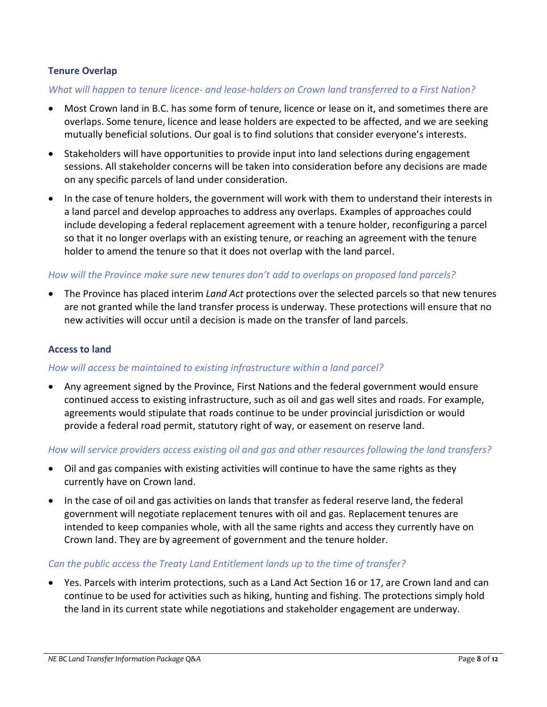# **Tenure Overlap**

#### *What will happen to tenure licence- and lease-holders on Crown land transferred to a First Nation?*

- Most Crown land in B.C. has some form of tenure, licence or lease on it, and sometimes there are overlaps. Some tenure, licence and lease holders are expected to be affected, and we are seeking mutually beneficial solutions. Our goal is to find solutions that consider everyone's interests.
- Stakeholders will have opportunities to provide input into land selections during engagement sessions. All stakeholder concerns will be taken into consideration before any decisions are made on any specific parcels of land under consideration.
- In the case of tenure holders, the government will work with them to understand their interests in a land parcel and develop approaches to address any overlaps. Examples of approaches could include developing a federal replacement agreement with a tenure holder, reconfiguring a parcel so that it no longer overlaps with an existing tenure, or reaching an agreement with the tenure holder to amend the tenure so that it does not overlap with the land parcel.

#### *How will the Province make sure new tenures don't add to overlaps on proposed land parcels?*

 The Province has placed interim *Land Act* protections over the selected parcels so that new tenures are not granted while the land transfer process is underway. These protections will ensure that no new activities will occur until a decision is made on the transfer of land parcels.

#### **Access to land**

#### *How will access be maintained to existing infrastructure within a land parcel?*

 Any agreement signed by the Province, First Nations and the federal government would ensure continued access to existing infrastructure, such as oil and gas well sites and roads. For example, agreements would stipulate that roads continue to be under provincial jurisdiction or would provide a federal road permit, statutory right of way, or easement on reserve land.

#### *How will service providers access existing oil and gas and other resources following the land transfers?*

- Oil and gas companies with existing activities will continue to have the same rights as they currently have on Crown land.
- In the case of oil and gas activities on lands that transfer as federal reserve land, the federal government will negotiate replacement tenures with oil and gas. Replacement tenures are intended to keep companies whole, with all the same rights and access they currently have on Crown land. They are by agreement of government and the tenure holder.

#### *Can the public access the Treaty Land Entitlement lands up to the time of transfer?*

 Yes. Parcels with interim protections, such as a Land Act Section 16 or 17, are Crown land and can continue to be used for activities such as hiking, hunting and fishing. The protections simply hold the land in its current state while negotiations and stakeholder engagement are underway.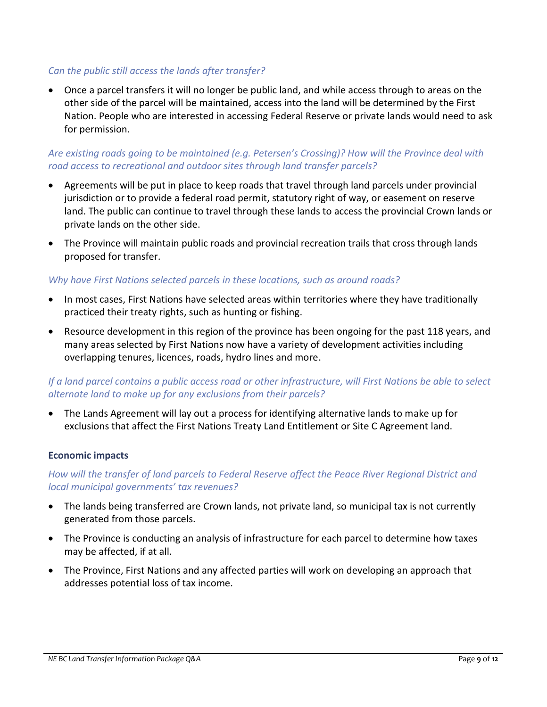# *Can the public still access the lands after transfer?*

 Once a parcel transfers it will no longer be public land, and while access through to areas on the other side of the parcel will be maintained, access into the land will be determined by the First Nation. People who are interested in accessing Federal Reserve or private lands would need to ask for permission.

# *Are existing roads going to be maintained (e.g. Petersen's Crossing)? How will the Province deal with road access to recreational and outdoor sites through land transfer parcels?*

- Agreements will be put in place to keep roads that travel through land parcels under provincial jurisdiction or to provide a federal road permit, statutory right of way, or easement on reserve land. The public can continue to travel through these lands to access the provincial Crown lands or private lands on the other side.
- The Province will maintain public roads and provincial recreation trails that cross through lands proposed for transfer.

# *Why have First Nations selected parcels in these locations, such as around roads?*

- In most cases, First Nations have selected areas within territories where they have traditionally practiced their treaty rights, such as hunting or fishing.
- Resource development in this region of the province has been ongoing for the past 118 years, and many areas selected by First Nations now have a variety of development activities including overlapping tenures, licences, roads, hydro lines and more.

# *If a land parcel contains a public access road or other infrastructure, will First Nations be able to select alternate land to make up for any exclusions from their parcels?*

 The Lands Agreement will lay out a process for identifying alternative lands to make up for exclusions that affect the First Nations Treaty Land Entitlement or Site C Agreement land.

#### **Economic impacts**

# *How will the transfer of land parcels to Federal Reserve affect the Peace River Regional District and local municipal governments' tax revenues?*

- The lands being transferred are Crown lands, not private land, so municipal tax is not currently generated from those parcels.
- The Province is conducting an analysis of infrastructure for each parcel to determine how taxes may be affected, if at all.
- The Province, First Nations and any affected parties will work on developing an approach that addresses potential loss of tax income.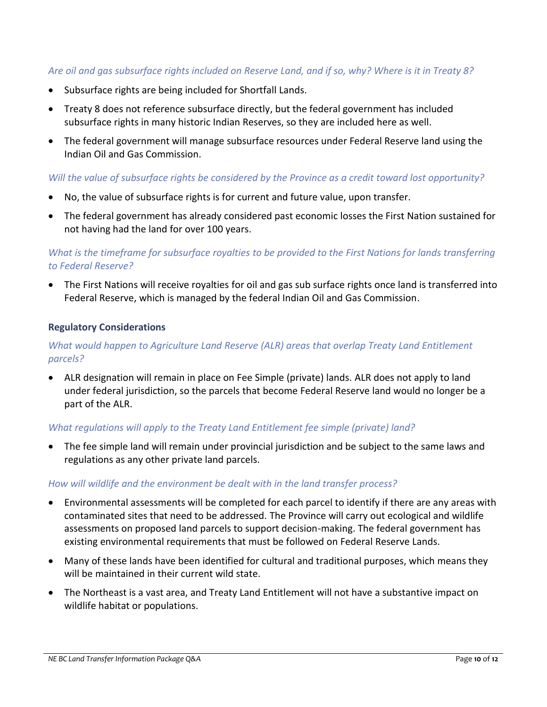# *Are oil and gas subsurface rights included on Reserve Land, and if so, why? Where is it in Treaty 8?*

- Subsurface rights are being included for Shortfall Lands.
- Treaty 8 does not reference subsurface directly, but the federal government has included subsurface rights in many historic Indian Reserves, so they are included here as well.
- The federal government will manage subsurface resources under Federal Reserve land using the Indian Oil and Gas Commission.

#### *Will the value of subsurface rights be considered by the Province as a credit toward lost opportunity?*

- No, the value of subsurface rights is for current and future value, upon transfer.
- The federal government has already considered past economic losses the First Nation sustained for not having had the land for over 100 years.

# *What is the timeframe for subsurface royalties to be provided to the First Nations for lands transferring to Federal Reserve?*

 The First Nations will receive royalties for oil and gas sub surface rights once land is transferred into Federal Reserve, which is managed by the federal Indian Oil and Gas Commission.

#### **Regulatory Considerations**

# *What would happen to Agriculture Land Reserve (ALR) areas that overlap Treaty Land Entitlement parcels?*

 ALR designation will remain in place on Fee Simple (private) lands. ALR does not apply to land under federal jurisdiction, so the parcels that become Federal Reserve land would no longer be a part of the ALR.

#### *What regulations will apply to the Treaty Land Entitlement fee simple (private) land?*

 The fee simple land will remain under provincial jurisdiction and be subject to the same laws and regulations as any other private land parcels.

#### *How will wildlife and the environment be dealt with in the land transfer process?*

- Environmental assessments will be completed for each parcel to identify if there are any areas with contaminated sites that need to be addressed. The Province will carry out ecological and wildlife assessments on proposed land parcels to support decision-making. The federal government has existing environmental requirements that must be followed on Federal Reserve Lands.
- Many of these lands have been identified for cultural and traditional purposes, which means they will be maintained in their current wild state.
- The Northeast is a vast area, and Treaty Land Entitlement will not have a substantive impact on wildlife habitat or populations.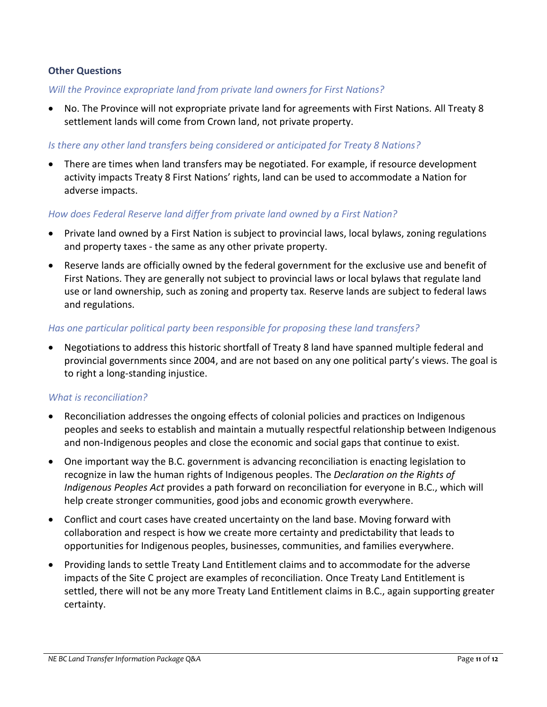# **Other Questions**

#### *Will the Province expropriate land from private land owners for First Nations?*

 No. The Province will not expropriate private land for agreements with First Nations. All Treaty 8 settlement lands will come from Crown land, not private property.

#### *Is there any other land transfers being considered or anticipated for Treaty 8 Nations?*

 There are times when land transfers may be negotiated. For example, if resource development activity impacts Treaty 8 First Nations' rights, land can be used to accommodate a Nation for adverse impacts.

#### *How does Federal Reserve land differ from private land owned by a First Nation?*

- Private land owned by a First Nation is subject to provincial laws, local bylaws, zoning regulations and property taxes - the same as any other private property.
- Reserve lands are officially owned by the federal government for the exclusive use and benefit of First Nations. They are generally not subject to provincial laws or local bylaws that regulate land use or land ownership, such as zoning and property tax. Reserve lands are subject to federal laws and regulations.

#### *Has one particular political party been responsible for proposing these land transfers?*

 Negotiations to address this historic shortfall of Treaty 8 land have spanned multiple federal and provincial governments since 2004, and are not based on any one political party's views. The goal is to right a long-standing injustice.

#### *What is reconciliation?*

- Reconciliation addresses the ongoing effects of colonial policies and practices on Indigenous peoples and seeks to establish and maintain a mutually respectful relationship between Indigenous and non-Indigenous peoples and close the economic and social gaps that continue to exist.
- One important way the B.C. government is advancing reconciliation is enacting legislation to recognize in law the human rights of Indigenous peoples. The *Declaration on the Rights of Indigenous Peoples Act* provides a path forward on reconciliation for everyone in B.C., which will help create stronger communities, good jobs and economic growth everywhere.
- Conflict and court cases have created uncertainty on the land base. Moving forward with collaboration and respect is how we create more certainty and predictability that leads to opportunities for Indigenous peoples, businesses, communities, and families everywhere.
- Providing lands to settle Treaty Land Entitlement claims and to accommodate for the adverse impacts of the Site C project are examples of reconciliation. Once Treaty Land Entitlement is settled, there will not be any more Treaty Land Entitlement claims in B.C., again supporting greater certainty.